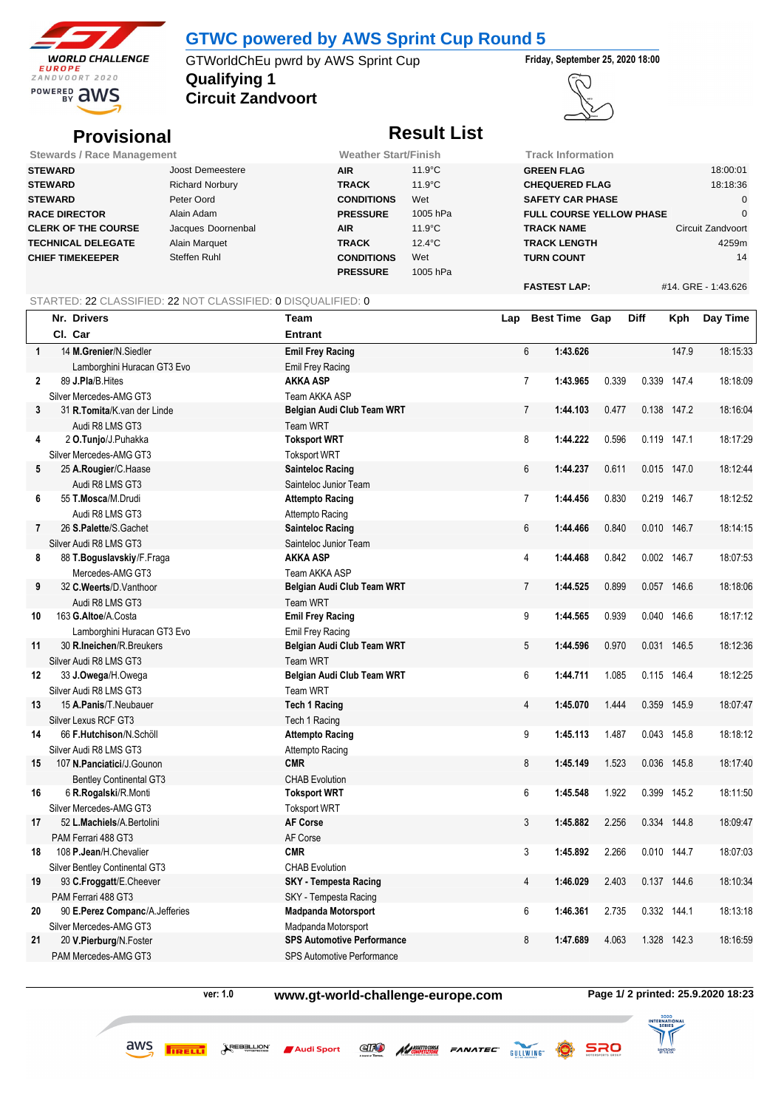

### **GTWC powered by AWS Sprint Cup Round 5**

**Qualifying 1** GTWorldChEu pwrd by AWS Sprint Cup **Friday, September 25, 2020 18:00**

**Circuit Zandvoort**



## **Provisional Result List**

| <b>Stewards / Race Management</b> |                        | <b>Weather Start/Finish</b> |                  | Track Information               |                     |  |  |  |  |
|-----------------------------------|------------------------|-----------------------------|------------------|---------------------------------|---------------------|--|--|--|--|
| <b>STEWARD</b>                    | Joost Demeestere       | <b>AIR</b>                  | $11.9^{\circ}$ C | <b>GREEN FLAG</b>               | 18:00:01            |  |  |  |  |
| <b>STEWARD</b>                    | <b>Richard Norbury</b> | <b>TRACK</b>                | $11.9^{\circ}$ C | <b>CHEQUERED FLAG</b>           | 18:18:36            |  |  |  |  |
| <b>STEWARD</b>                    | Peter Oord             | <b>CONDITIONS</b>           | Wet              | <b>SAFETY CAR PHASE</b>         |                     |  |  |  |  |
| <b>RACE DIRECTOR</b>              | Alain Adam             | <b>PRESSURE</b>             | 1005 hPa         | <b>FULL COURSE YELLOW PHASE</b> |                     |  |  |  |  |
| <b>CLERK OF THE COURSE</b>        | Jacques Doornenbal     | <b>AIR</b>                  | $11.9^{\circ}$ C | <b>TRACK NAME</b>               | Circuit Zandvoort   |  |  |  |  |
| <b>TECHNICAL DELEGATE</b>         | Alain Marquet          | <b>TRACK</b>                | $12.4^{\circ}$ C | <b>TRACK LENGTH</b>             | 4259m               |  |  |  |  |
| <b>CHIEF TIMEKEEPER</b>           | Steffen Ruhl           | <b>CONDITIONS</b>           | Wet              | <b>TURN COUNT</b>               | 14                  |  |  |  |  |
|                                   |                        | <b>PRESSURE</b>             | 1005 hPa         |                                 |                     |  |  |  |  |
|                                   |                        |                             |                  | <b>FASTEST LAP:</b>             | #14, GRE - 1:43,626 |  |  |  |  |

#### STARTED: 22 CLASSIFIED: 22 NOT CLASSIFIED: 0 DISQUALIFIED: 0

|              | Nr. Drivers                    | Team                              | Lap |                | <b>Best Time Gap</b> |       | Diff  | Kph         | Day Time |
|--------------|--------------------------------|-----------------------------------|-----|----------------|----------------------|-------|-------|-------------|----------|
|              | Cl. Car                        | <b>Entrant</b>                    |     |                |                      |       |       |             |          |
| $\mathbf{1}$ | 14 M.Grenier/N.Siedler         | <b>Emil Frey Racing</b>           |     | $6\phantom{1}$ | 1:43.626             |       |       | 147.9       | 18 15 33 |
|              | Lamborghini Huracan GT3 Evo    | Emil Frey Racing                  |     |                |                      |       |       |             |          |
| 2            | 89 J.Pla/B.Hites               | <b>AKKA ASP</b>                   |     | $\overline{7}$ | 1:43.965             | 0.339 |       | 0.339 147.4 | 18:18:09 |
|              | Silver Mercedes-AMG GT3        | Team AKKA ASP                     |     |                |                      |       |       |             |          |
| 3            | 31 R.Tomita/K.van der Linde    | Belgian Audi Club Team WRT        |     | $\overline{7}$ | 1:44.103             | 0.477 |       | 0.138 147.2 | 18:16:04 |
|              | Audi R8 LMS GT3                | <b>Team WRT</b>                   |     |                |                      |       |       |             |          |
| 4            | 2 O.Tunjo/J.Puhakka            | <b>Toksport WRT</b>               |     | 8              | 1:44.222             | 0.596 |       | 0.119 147.1 | 18:17:29 |
|              | Silver Mercedes-AMG GT3        | <b>Toksport WRT</b>               |     |                |                      |       |       |             |          |
| 5            | 25 A.Rougier/C.Haase           | <b>Sainteloc Racing</b>           |     | 6              | 1:44.237             | 0.611 |       | 0.015 147.0 | 18:12:44 |
|              | Audi R8 LMS GT3                | Sainteloc Junior Team             |     |                |                      |       |       |             |          |
| 6            | 55 T.Mosca/M.Drudi             | <b>Attempto Racing</b>            |     | $\overline{7}$ | 1:44.456             | 0.830 |       | 0.219 146.7 | 18:12:52 |
|              | Audi R8 LMS GT3                | Attempto Racing                   |     |                |                      |       |       |             |          |
| 7            | 26 S.Palette/S.Gachet          | <b>Sainteloc Racing</b>           |     | 6              | 1:44.466             | 0.840 |       | 0.010 146.7 | 18:14:15 |
|              | Silver Audi R8 LMS GT3         | Sainteloc Junior Team             |     |                |                      |       |       |             |          |
| 8            | 88 T.Boguslavskiy/F.Fraga      | <b>AKKA ASP</b>                   |     | 4              | 1:44.468             | 0.842 |       | 0.002 146.7 | 18:07:53 |
|              | Mercedes-AMG GT3               | Team AKKA ASP                     |     |                |                      |       |       |             |          |
| 9            | 32 C.Weerts/D.Vanthoor         | Belgian Audi Club Team WRT        |     | $\overline{7}$ | 1:44.525             | 0.899 |       | 0.057 146.6 | 18:18:06 |
|              | Audi R8 LMS GT3                | Team WRT                          |     |                |                      |       |       |             |          |
| 10           | 163 G.Altoe/A.Costa            | <b>Emil Frey Racing</b>           |     | 9              | 1:44.565             | 0.939 | 0.040 | 146.6       | 18:17:12 |
|              | Lamborghini Huracan GT3 Evo    | Emil Frey Racing                  |     |                |                      |       |       |             |          |
| 11           | 30 R.Ineichen/R.Breukers       | Belgian Audi Club Team WRT        |     | 5              | 1:44.596             | 0.970 |       | 0.031 146.5 | 18:12:36 |
|              | Silver Audi R8 LMS GT3         | Team WRT                          |     |                |                      |       |       |             |          |
| 12           | 33 J.Owega/H.Owega             | Belgian Audi Club Team WRT        |     | 6              | 1:44.711             | 1.085 |       | 0.115 146.4 | 18:12:25 |
|              | Silver Audi R8 LMS GT3         | <b>Team WRT</b>                   |     |                |                      |       |       |             |          |
| 13           | 15 A.Panis/T.Neubauer          | <b>Tech 1 Racing</b>              |     | $\overline{4}$ | 1:45.070             | 1.444 |       | 0.359 145.9 | 18:07:47 |
|              | Silver Lexus RCF GT3           | Tech 1 Racing                     |     |                |                      |       |       |             |          |
| 14           | 66 F.Hutchison/N.Schöll        | <b>Attempto Racing</b>            |     | 9              | 1:45.113             | 1.487 |       | 0.043 145.8 | 18:18:12 |
|              | Silver Audi R8 LMS GT3         | Attempto Racing                   |     |                |                      |       |       |             |          |
| 15           | 107 N.Panciatici/J.Gounon      | <b>CMR</b>                        |     | 8              | 1:45.149             | 1.523 | 0.036 | 145.8       | 18 17 40 |
|              | <b>Bentley Continental GT3</b> | <b>CHAB Evolution</b>             |     |                |                      |       |       |             |          |
| 16           | 6 R.Rogalski/R.Monti           | <b>Toksport WRT</b>               |     | 6              | 1:45.548             | 1.922 |       | 0.399 145.2 | 18:11:50 |
|              | Silver Mercedes-AMG GT3        | <b>Toksport WRT</b>               |     |                |                      |       |       |             |          |
| 17           | 52 L.Machiels/A.Bertolini      | <b>AF Corse</b>                   |     | 3              | 1:45.882             | 2.256 |       | 0.334 144.8 | 18:09:47 |
|              | PAM Ferrari 488 GT3            | AF Corse                          |     |                |                      |       |       |             |          |
| 18           | 108 P.Jean/H.Chevalier         | <b>CMR</b>                        |     | 3              | 1:45.892             | 2.266 |       | 0.010 144.7 | 18:07:03 |
|              | Silver Bentley Continental GT3 | <b>CHAB Evolution</b>             |     |                |                      |       |       |             |          |
| 19           | 93 C.Froggatt/E.Cheever        | <b>SKY</b> - Tempesta Racing      |     | 4              | 1:46.029             | 2.403 |       | 0.137 144.6 | 18:10:34 |
|              | PAM Ferrari 488 GT3            | SKY - Tempesta Racing             |     |                |                      |       |       |             |          |
| 20           | 90 E.Perez Companc/A.Jefferies | <b>Madpanda Motorsport</b>        |     | 6              | 1:46.361             | 2.735 |       | 0.332 144.1 | 18:13:18 |
|              | Silver Mercedes-AMG GT3        | Madpanda Motorsport               |     |                |                      |       |       |             |          |
| 21           | 20 V.Pierburg/N.Foster         | <b>SPS Automotive Performance</b> |     | 8              | 1:47.689             | 4.063 | 1.328 | 142.3       | 18:16:59 |
|              | PAM Mercedes-AMG GT3           | <b>SPS Automotive Performance</b> |     |                |                      |       |       |             |          |

aws

**ver: 1.0 www.gt-world-challenge-europe.com Page 1/ 2 printed: 25.9.2020 18:23**

COMPETIZIONE

FANATEC<sup>.</sup>

**ert** 

Audi Sport



**SRO** 

GULLWING Q